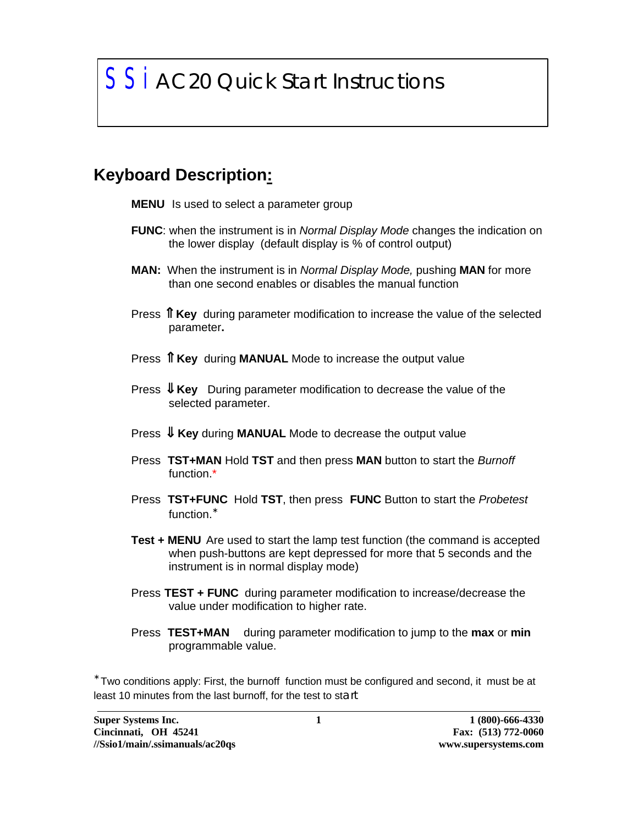# *SSi AC20 Quick Start Instructions*

### **Keyboard Description:**

- **MENU** Is used to select a parameter group
- **FUNC**: when the instrument is in *Normal Display Mode* changes the indication on the lower display (default display is % of control output)
- **MAN:** When the instrument is in *Normal Display Mode,* pushing **MAN** for more than one second enables or disables the manual function
- Press  $\mathbf{\hat{I}}$  Key during parameter modification to increase the value of the selected parameter**.**
- Press  $\int \int$  **Key** during **MANUAL** Mode to increase the output value
- Press ⇓ **Key** During parameter modification to decrease the value of the selected parameter.
- Press ⇓ **Key** during **MANUAL** Mode to decrease the output value
- Press **TST+MAN** Hold **TST** and then press **MAN** button to start the *Burnoff* function.\*
- Press **TST+FUNC** Hold **TST**, then press **FUNC** Button to start the *Probetest* function.<sup>\*</sup>
- **Test + MENU** Are used to start the lamp test function (the command is accepted when push-buttons are kept depressed for more that 5 seconds and the instrument is in normal display mode)
- Press **TEST + FUNC** during parameter modification to increase/decrease the value under modification to higher rate.
- Press **TEST+MAN** during parameter modification to jump to the **max** or **min** programmable value.

∗ Two conditions apply: First, the burnoff function must be configured and second, it must be at least 10 minutes from the last burnoff, for the test to start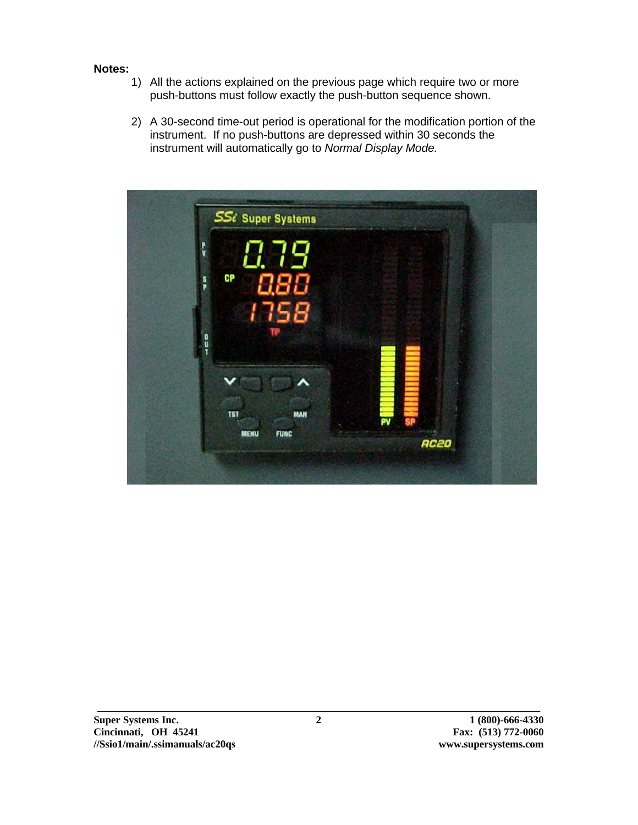#### **Notes:**

- 1) All the actions explained on the previous page which require two or more push-buttons must follow exactly the push-button sequence shown.
- 2) A 30-second time-out period is operational for the modification portion of the instrument. If no push-buttons are depressed within 30 seconds the instrument will automatically go to *Normal Display Mode.*

| MENU<br><b>FUNC</b> |            |                   |
|---------------------|------------|-------------------|
|                     | <b>MAN</b> | PV<br><b>AC20</b> |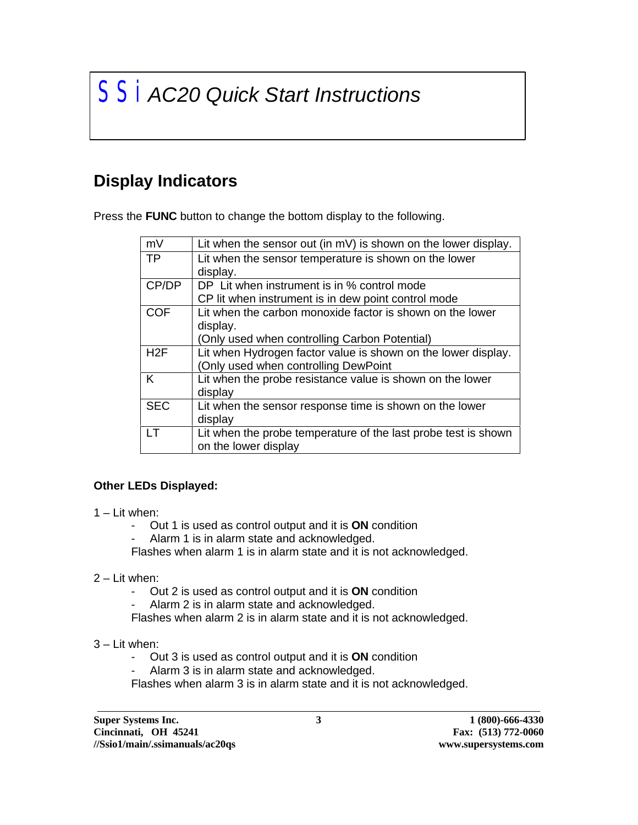# *SSi AC20 Quick Start Instructions*

## **Display Indicators**

Press the **FUNC** button to change the bottom display to the following.

| mV         | Lit when the sensor out (in mV) is shown on the lower display. |
|------------|----------------------------------------------------------------|
| <b>TP</b>  | Lit when the sensor temperature is shown on the lower          |
|            | display.                                                       |
| CP/DP      | DP Lit when instrument is in % control mode                    |
|            | CP lit when instrument is in dew point control mode            |
| <b>COF</b> | Lit when the carbon monoxide factor is shown on the lower      |
|            | display.                                                       |
|            | (Only used when controlling Carbon Potential)                  |
| H2F        | Lit when Hydrogen factor value is shown on the lower display.  |
|            | (Only used when controlling DewPoint                           |
| K          | Lit when the probe resistance value is shown on the lower      |
|            | display                                                        |
| <b>SEC</b> | Lit when the sensor response time is shown on the lower        |
|            | display                                                        |
| IΤ         | Lit when the probe temperature of the last probe test is shown |
|            | on the lower display                                           |

#### **Other LEDs Displayed:**

- 1 Lit when:
	- Out 1 is used as control output and it is **ON** condition
	- Alarm 1 is in alarm state and acknowledged.

Flashes when alarm 1 is in alarm state and it is not acknowledged.

- 2 Lit when:
	- Out 2 is used as control output and it is **ON** condition
	- Alarm 2 is in alarm state and acknowledged.

Flashes when alarm 2 is in alarm state and it is not acknowledged.

#### 3 – Lit when:

- Out 3 is used as control output and it is **ON** condition
- Alarm 3 is in alarm state and acknowledged.

Flashes when alarm 3 is in alarm state and it is not acknowledged.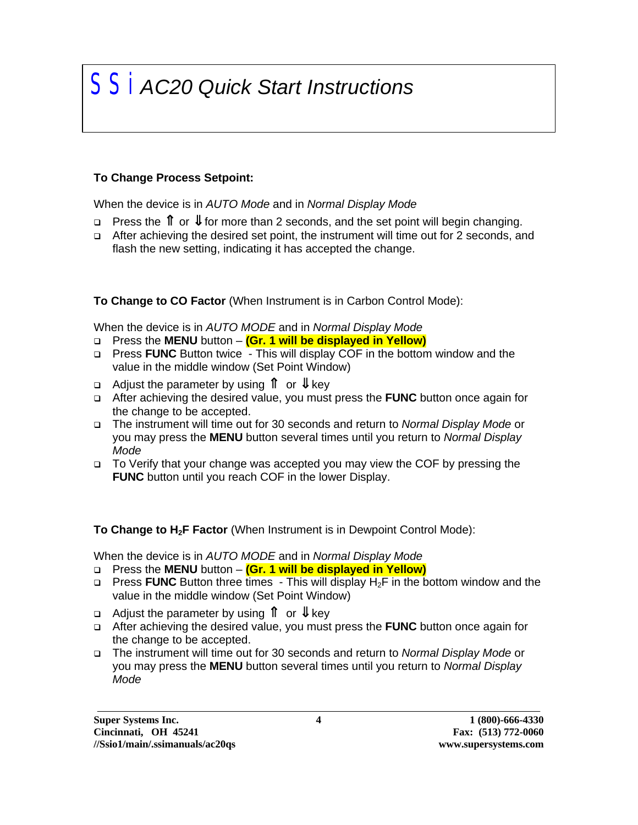## *SSi AC20 Quick Start Instructions*

#### **To Change Process Setpoint:**

When the device is in *AUTO Mode* and in *Normal Display Mode*

- $\Box$  Press the  $\Box$  or  $\Downarrow$  for more than 2 seconds, and the set point will begin changing.
- □ After achieving the desired set point, the instrument will time out for 2 seconds, and flash the new setting, indicating it has accepted the change.

**To Change to CO Factor** (When Instrument is in Carbon Control Mode):

When the device is in *AUTO MODE* and in *Normal Display Mode*

- q Press the **MENU** button **(Gr. 1 will be displayed in Yellow)**
- q Press **FUNC** Button twice This will display COF in the bottom window and the value in the middle window (Set Point Window)
- <sup>q</sup> Adjust the parameter by using ⇑ or ⇓ key
- q After achieving the desired value, you must press the **FUNC** button once again for the change to be accepted.
- q The instrument will time out for 30 seconds and return to *Normal Display Mode* or you may press the **MENU** button several times until you return to *Normal Display Mode*
- q To Verify that your change was accepted you may view the COF by pressing the **FUNC** button until you reach COF in the lower Display.

**To Change to H2F Factor** (When Instrument is in Dewpoint Control Mode):

When the device is in *AUTO MODE* and in *Normal Display Mode*

- q Press the **MENU** button **(Gr. 1 will be displayed in Yellow)**
- <sup>q</sup> Press **FUNC** Button three times This will display H2F in the bottom window and the value in the middle window (Set Point Window)
- <sup>q</sup> Adjust the parameter by using ⇑ or ⇓ key
- q After achieving the desired value, you must press the **FUNC** button once again for the change to be accepted.
- q The instrument will time out for 30 seconds and return to *Normal Display Mode* or you may press the **MENU** button several times until you return to *Normal Display Mode*